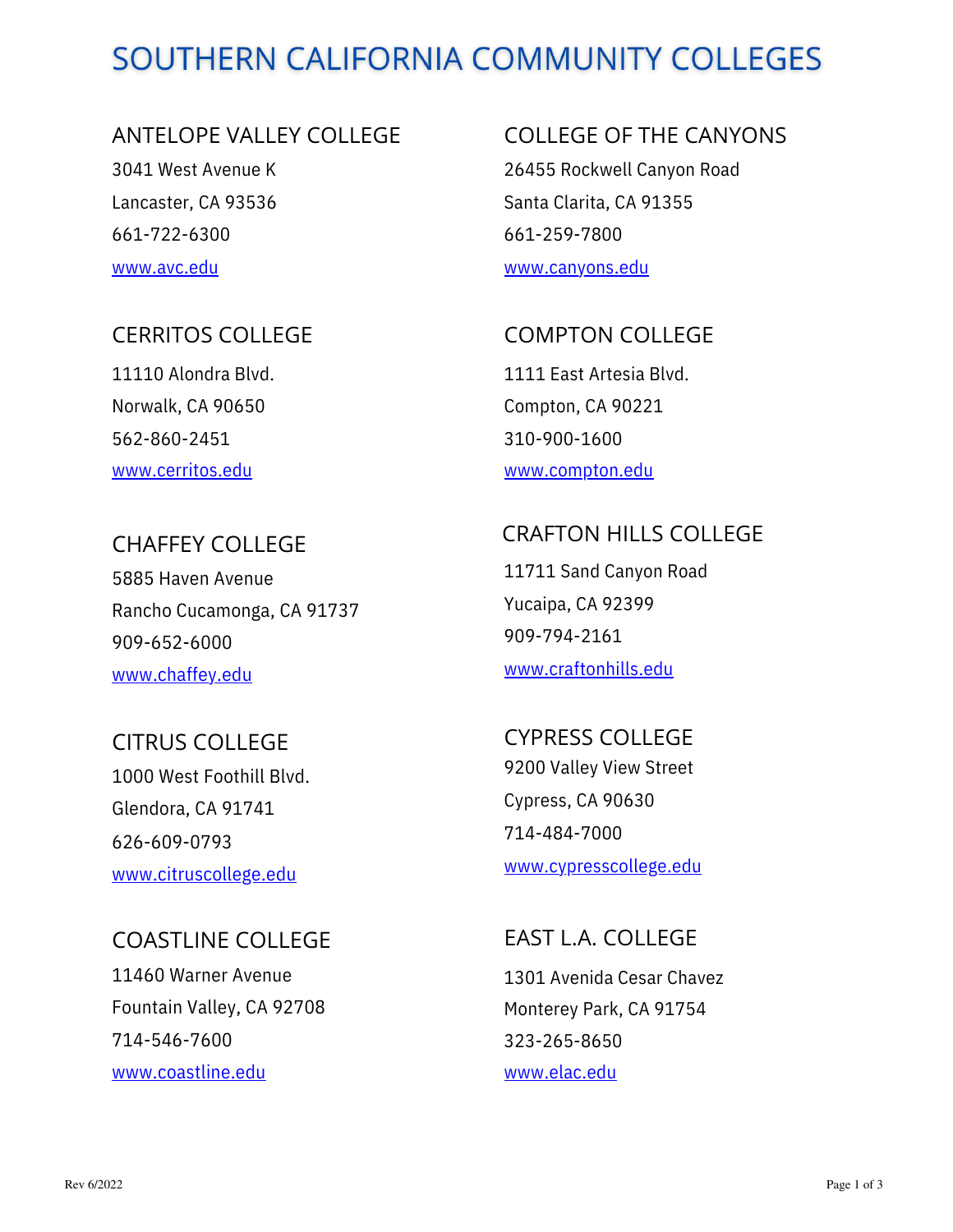# SOUTHERN CALIFORNIA COMMUNITY COLLEGES

### ANTELOPE VALLEY COLLEGE

3041 West Avenue K Lancaster, CA 93536 661-722-6300 [www.avc.edu](http://www.avc.edu/)

# CERRITOS COLLEGE

11110 Alondra Blvd. Norwalk, CA 90650 562-860-2451 [www.cerritos.edu](http://www.cerritos.edu/)

CHAFFEY COLLEGE 5885 Haven Avenue Rancho Cucamonga, CA 91737 909-652-6000 [www.chaffey.edu](http://www.chaffey.edu/)

CITRUS COLLEGE 1000 West Foothill Blvd. Glendora, CA 91741 626-609-0793 [www.citruscollege.edu](http://www.citruscollege.edu/)

COASTLINE COLLEGE 11460 Warner Avenue Fountain Valley, CA 92708 714-546-7600 [www.coastline.edu](http://www.coastline.edu/)

COLLEGE OF THE CANYONS

26455 Rockwell Canyon Road Santa Clarita, CA 91355 661-259-7800 [www.canyons.edu](http://www.canyons.edu/)

1111 East Artesia Blvd. Compton, CA 90221 310-900-1600 [www.compton.edu](http://www.compton.edu/) COMPTON COLLEGE

11711 Sand Canyon Road CRAFTON HILLS COLLEGE

Yucaipa, CA 92399 909-794-2161 [www.craftonhills.edu](http://www.craftonhills.edu/)

9200 Valley View Street Cypress, CA 90630 714-484-7000 [www.cypresscollege.edu](http://www.cypresscollege.edu/) CYPRESS COLLEGE

EAST L.A. COLLEGE

1301 Avenida Cesar Chavez Monterey Park, CA 91754 323-265-8650 [www.elac.edu](http://www.elac.edu/)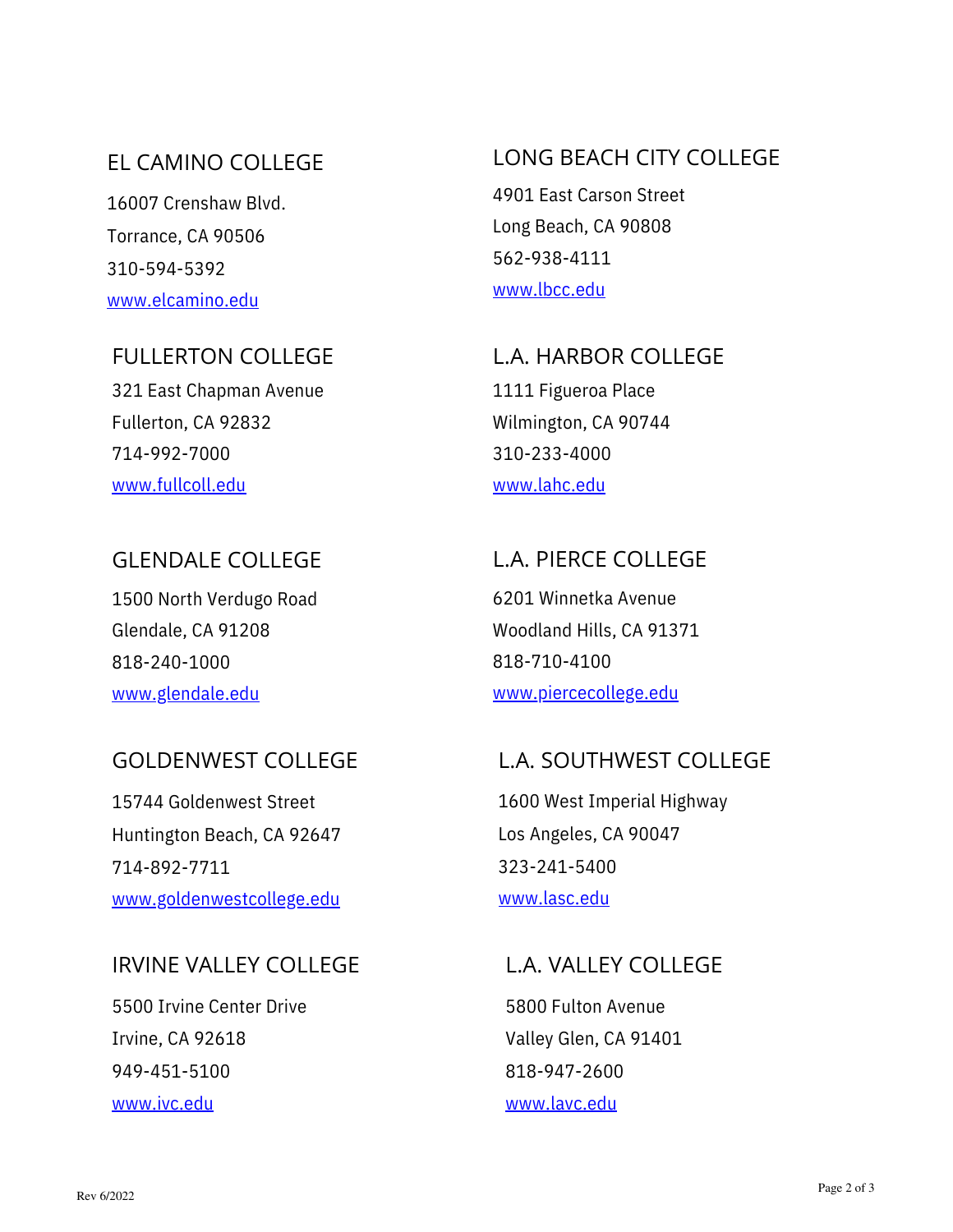# EL CAMINO COLLEGE

16007 Crenshaw Blvd. Torrance, CA 90506 310-594-5392 [www.elcamino.edu](http://www.elcamino.edu/)

### FULLERTON COLLEGE

321 East Chapman Avenue Fullerton, CA 92832 714-992-7000 [www.fullcoll.edu](http://www.fullcoll.edu/)

# GLENDALE COLLEGE

1500 North Verdugo Road Glendale, CA 91208 818-240-1000 [www.glendale.edu](http://www.glendale.edu/)

### GOLDENWEST COLLEGE

15744 Goldenwest Street Huntington Beach, CA 92647 714-892-7711 [www.goldenwestcollege.edu](http://www.goldenwestcollege.edu/)

### IRVINE VALLEY COLLEGE

5500 Irvine Center Drive Irvine, CA 92618 949-451-5100 [www.ivc.edu](http://www.ivc.edu/)

# LONG BEACH CITY COLLEGE

4901 East Carson Street Long Beach, CA 90808 562-938-4111 [www.lbcc.edu](http://www.lbcc.edu/)

1111 Figueroa Place Wilmington, CA 90744 310-233-4000 [www.lahc.edu](http://www.lahc.edu/) L.A. HARBOR COLLEGE

# 6201 Winnetka Avenue Woodland Hills, CA 91371 818-710-4100 [www.piercecollege.edu](http://www.piercecollege.edu/) L.A. PIERCE COLLEGE

# L.A. SOUTHWEST COLLEGE

1600 West Imperial Highway Los Angeles, CA 90047 323-241-5400 [www.lasc.edu](http://www.lasc.edu/)

# L.A. VALLEY COLLEGE

5800 Fulton Avenue Valley Glen, CA 91401 818-947-2600 [www.lavc.edu](http://www.lavc.edu/)